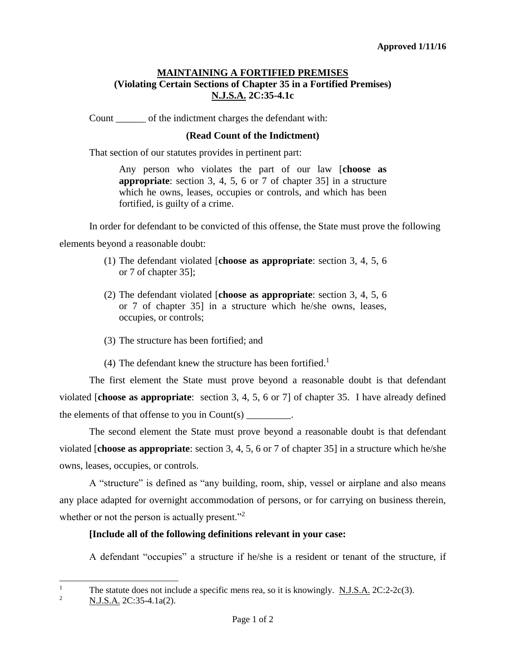## **MAINTAINING A FORTIFIED PREMISES (Violating Certain Sections of Chapter 35 in a Fortified Premises) N.J.S.A. 2C:35-4.1c**

Count \_\_\_\_\_\_ of the indictment charges the defendant with:

## **(Read Count of the Indictment)**

That section of our statutes provides in pertinent part:

Any person who violates the part of our law [**choose as appropriate**: section 3, 4, 5, 6 or 7 of chapter 35] in a structure which he owns, leases, occupies or controls, and which has been fortified, is guilty of a crime.

In order for defendant to be convicted of this offense, the State must prove the following

elements beyond a reasonable doubt:

- (1) The defendant violated [**choose as appropriate**: section 3, 4, 5, 6 or 7 of chapter 35];
- (2) The defendant violated [**choose as appropriate**: section 3, 4, 5, 6 or 7 of chapter 35] in a structure which he/she owns, leases, occupies, or controls;
- (3) The structure has been fortified; and
- (4) The defendant knew the structure has been fortified.<sup>1</sup>

The first element the State must prove beyond a reasonable doubt is that defendant violated [**choose as appropriate**: section 3, 4, 5, 6 or 7] of chapter 35. I have already defined the elements of that offense to you in Count(s) \_\_\_\_\_\_\_\_\_.

The second element the State must prove beyond a reasonable doubt is that defendant violated [**choose as appropriate**: section 3, 4, 5, 6 or 7 of chapter 35] in a structure which he/she owns, leases, occupies, or controls.

A "structure" is defined as "any building, room, ship, vessel or airplane and also means any place adapted for overnight accommodation of persons, or for carrying on business therein, whether or not the person is actually present."<sup>2</sup>

## **[Include all of the following definitions relevant in your case:**

A defendant "occupies" a structure if he/she is a resident or tenant of the structure, if

 $\mathbf{1}$ <sup>1</sup> The statute does not include a specific mens rea, so it is knowingly. <u>N.J.S.A.</u> 2C:2-2c(3).

<sup>2</sup> N.J.S.A. 2C:35-4.1a(2).